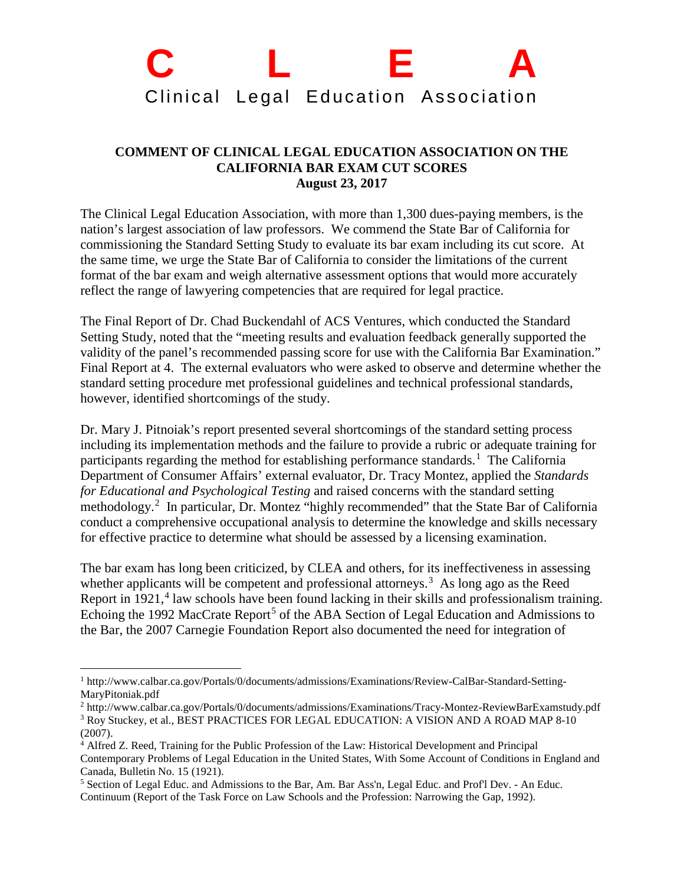## **C L E A** Clinical Legal Education Association

## **COMMENT OF CLINICAL LEGAL EDUCATION ASSOCIATION ON THE CALIFORNIA BAR EXAM CUT SCORES August 23, 2017**

The Clinical Legal Education Association, with more than 1,300 dues-paying members, is the nation's largest association of law professors. We commend the State Bar of California for commissioning the Standard Setting Study to evaluate its bar exam including its cut score. At the same time, we urge the State Bar of California to consider the limitations of the current format of the bar exam and weigh alternative assessment options that would more accurately reflect the range of lawyering competencies that are required for legal practice.

The Final Report of Dr. Chad Buckendahl of ACS Ventures, which conducted the Standard Setting Study, noted that the "meeting results and evaluation feedback generally supported the validity of the panel's recommended passing score for use with the California Bar Examination." Final Report at 4. The external evaluators who were asked to observe and determine whether the standard setting procedure met professional guidelines and technical professional standards, however, identified shortcomings of the study.

Dr. Mary J. Pitnoiak's report presented several shortcomings of the standard setting process including its implementation methods and the failure to provide a rubric or adequate training for participants regarding the method for establishing performance standards.<sup>[1](#page-0-0)</sup> The California Department of Consumer Affairs' external evaluator, Dr. Tracy Montez, applied the *Standards for Educational and Psychological Testing* and raised concerns with the standard setting methodology.<sup>[2](#page-0-1)</sup> In particular, Dr. Montez "highly recommended" that the State Bar of California conduct a comprehensive occupational analysis to determine the knowledge and skills necessary for effective practice to determine what should be assessed by a licensing examination.

The bar exam has long been criticized, by CLEA and others, for its ineffectiveness in assessing whether applicants will be competent and professional attorneys.<sup>[3](#page-0-2)</sup> As long ago as the Reed Report in 1921, $4$  law schools have been found lacking in their skills and professionalism training. Echoing the 1992 MacCrate Report<sup>[5](#page-0-4)</sup> of the ABA Section of Legal Education and Admissions to the Bar, the 2007 Carnegie Foundation Report also documented the need for integration of

<span id="page-0-0"></span> <sup>1</sup> http://www.calbar.ca.gov/Portals/0/documents/admissions/Examinations/Review-CalBar-Standard-Setting-MaryPitoniak.pdf

<span id="page-0-2"></span><span id="page-0-1"></span><sup>2</sup> http://www.calbar.ca.gov/Portals/0/documents/admissions/Examinations/Tracy-Montez-ReviewBarExamstudy.pdf <sup>3</sup> Roy Stuckey, et al., BEST PRACTICES FOR LEGAL EDUCATION: A VISION AND A ROAD MAP 8-10 (2007).

<span id="page-0-3"></span><sup>4</sup> Alfred Z. Reed, Training for the Public Profession of the Law: Historical Development and Principal Contemporary Problems of Legal Education in the United States, With Some Account of Conditions in England and Canada, Bulletin No. 15 (1921).

<span id="page-0-4"></span><sup>5</sup> Section of Legal Educ. and Admissions to the Bar, Am. Bar Ass'n, Legal Educ. and Prof'l Dev. - An Educ. Continuum (Report of the Task Force on Law Schools and the Profession: Narrowing the Gap, 1992).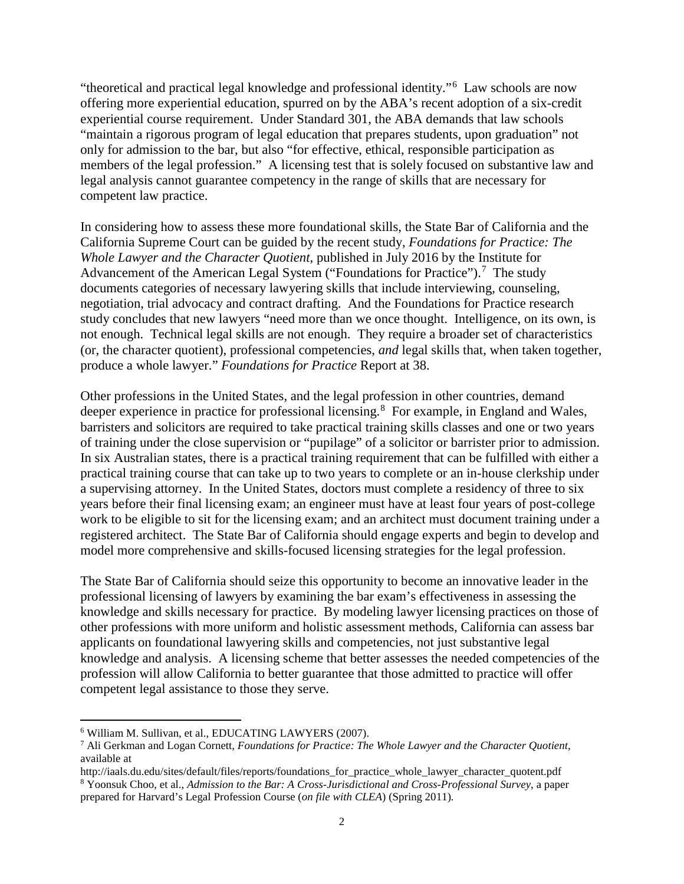"theoretical and practical legal knowledge and professional identity."[6](#page-1-0) Law schools are now offering more experiential education, spurred on by the ABA's recent adoption of a six-credit experiential course requirement. Under Standard 301, the ABA demands that law schools "maintain a rigorous program of legal education that prepares students, upon graduation" not only for admission to the bar, but also "for effective, ethical, responsible participation as members of the legal profession." A licensing test that is solely focused on substantive law and legal analysis cannot guarantee competency in the range of skills that are necessary for competent law practice.

In considering how to assess these more foundational skills, the State Bar of California and the California Supreme Court can be guided by the recent study, *Foundations for Practice: The Whole Lawyer and the Character Quotient*, published in July 2016 by the Institute for Advancement of the American Legal System ("Foundations for Practice").<sup>[7](#page-1-1)</sup> The study documents categories of necessary lawyering skills that include interviewing, counseling, negotiation, trial advocacy and contract drafting. And the Foundations for Practice research study concludes that new lawyers "need more than we once thought. Intelligence, on its own, is not enough. Technical legal skills are not enough. They require a broader set of characteristics (or, the character quotient), professional competencies, *and* legal skills that, when taken together, produce a whole lawyer." *Foundations for Practice* Report at 38.

Other professions in the United States, and the legal profession in other countries, demand deeper experience in practice for professional licensing.<sup>[8](#page-1-2)</sup> For example, in England and Wales, barristers and solicitors are required to take practical training skills classes and one or two years of training under the close supervision or "pupilage" of a solicitor or barrister prior to admission. In six Australian states, there is a practical training requirement that can be fulfilled with either a practical training course that can take up to two years to complete or an in-house clerkship under a supervising attorney. In the United States, doctors must complete a residency of three to six years before their final licensing exam; an engineer must have at least four years of post-college work to be eligible to sit for the licensing exam; and an architect must document training under a registered architect. The State Bar of California should engage experts and begin to develop and model more comprehensive and skills-focused licensing strategies for the legal profession.

The State Bar of California should seize this opportunity to become an innovative leader in the professional licensing of lawyers by examining the bar exam's effectiveness in assessing the knowledge and skills necessary for practice. By modeling lawyer licensing practices on those of other professions with more uniform and holistic assessment methods, California can assess bar applicants on foundational lawyering skills and competencies, not just substantive legal knowledge and analysis. A licensing scheme that better assesses the needed competencies of the profession will allow California to better guarantee that those admitted to practice will offer competent legal assistance to those they serve.

<span id="page-1-0"></span> <sup>6</sup> William M. Sullivan, et al., EDUCATING LAWYERS (2007).

<span id="page-1-1"></span><sup>7</sup> Ali Gerkman and Logan Cornett, *Foundations for Practice: The Whole Lawyer and the Character Quotient*, available at

<span id="page-1-2"></span>http://iaals.du.edu/sites/default/files/reports/foundations\_for\_practice\_whole\_lawyer\_character\_quotent.pdf <sup>8</sup> Yoonsuk Choo, et al., *Admission to the Bar: A Cross-Jurisdictional and Cross-Professional Survey*, a paper prepared for Harvard's Legal Profession Course (*on file with CLEA*) (Spring 2011)*.*